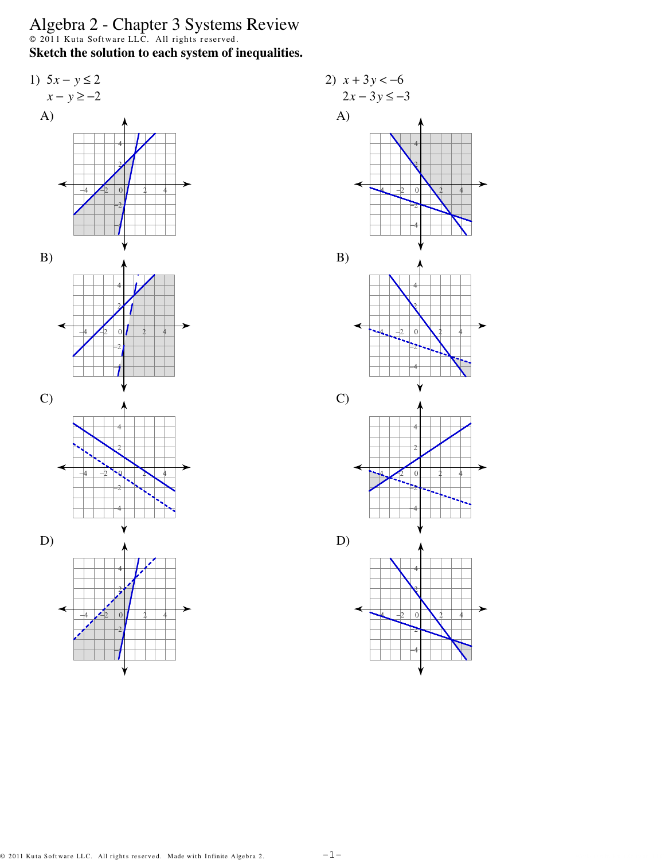Algebra 2 - Chapter 3 Systems Review<br>  $\circ$  2011 Kuta Software LLC. All rights reserved.<br>
Sketch the solution to each system of inequalities.



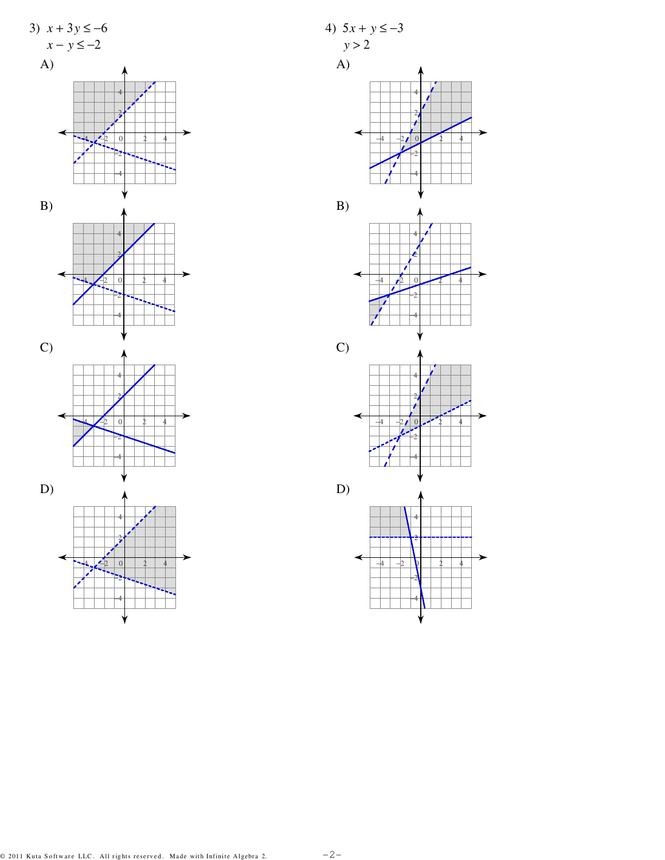

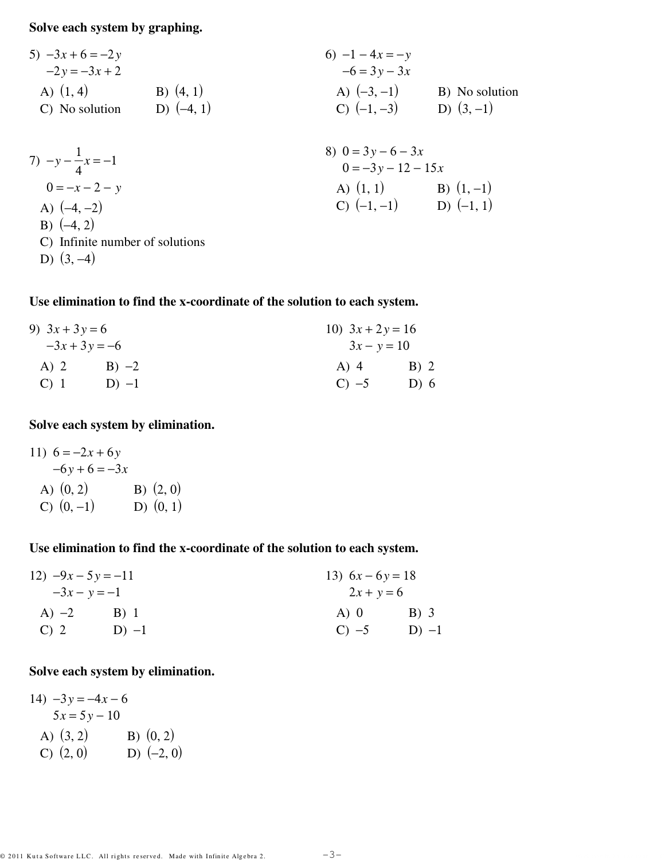**Solve each system by graphing.**

5) 
$$
-3x + 6 = -2y
$$
  
\n $-2y = -3x + 2$   
\nA) (1, 4)  
\nB) (4, 1)  
\nC) No solution  
\nD) (-4, 1)  
\n3) (4, 1)  
\n5) (4, 1)  
\n6) -1 - 4x = -y  
\n $-6 = 3y - 3x$   
\nA) (-3, -1)  
\nB) No solution  
\nC) (-1, -3)  
\nD) (3, -1)

7) 
$$
-y - \frac{1}{4}x = -1
$$
  
\n $0 = -x - 2 - y$   
\nA)  $(-4, -2)$   
\nB)  $(-4, 2)$   
\nC) Infinite number of solutions

- C) Infinite number of solutions
- D)  $(3, -4)$

## **Use elimination to find the x-coordinate of the solution to each system.**

| 9) $3x + 3y = 6$<br>$-3x + 3y = -6$ |         | 10) $3x + 2y = 16$<br>$3x - y = 10$ |                  |
|-------------------------------------|---------|-------------------------------------|------------------|
|                                     |         |                                     |                  |
| $C$ ) 1                             | $D) -1$ | $C) -5$                             | D $\binom{6}{ }$ |

## **Solve each system by elimination.**

11)  $6 = -2x + 6y$  $-6y + 6 = -3x$ A)  $(0, 2)$  B)  $(2, 0)$ C)  $(0, -1)$  D)  $(0, 1)$ 

### **Use elimination to find the x-coordinate of the solution to each system.**

| 12) $-9x - 5y = -11$<br>$-3x - y = -1$ |         | 13) $6x - 6y = 18$<br>$2x + y = 6$ |         |
|----------------------------------------|---------|------------------------------------|---------|
|                                        |         |                                    |         |
| C) 2                                   | $D) -1$ | $C) -5$                            | $D) -1$ |

## **Solve each system by elimination.**

14)  $-3y = -4x - 6$  $5x = 5y - 10$ A)  $(3, 2)$  B)  $(0, 2)$ C)  $(2, 0)$  D)  $(-2, 0)$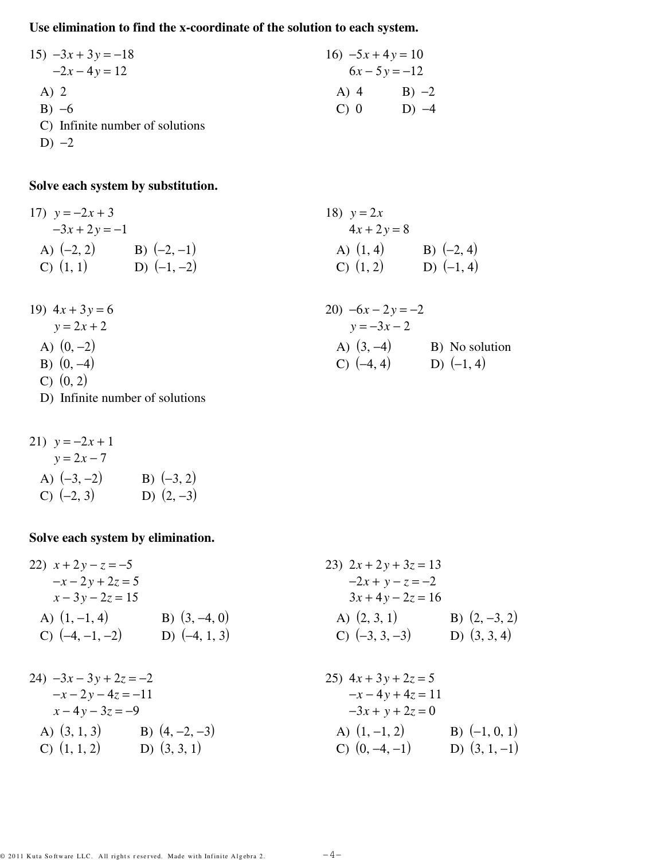# **Use elimination to find the x-coordinate of the solution to each system.**

| $15) -3x + 3y = -18$            |       | 16) $-5x + 4y = 10$ |  |
|---------------------------------|-------|---------------------|--|
| $-2x-4y=12$                     |       | $6x - 5y = -12$     |  |
| $A)$ 2                          | A) 4  | $B) -2$             |  |
| $B) -6$                         | $C$ 0 | $D) -4$             |  |
| C) Infinite number of solutions |       |                     |  |

D)  $-2$ 

19)  $4x + 3y = 6$ *y* = 2*x* + 2

A)  $(0, -2)$ B)  $(0, -4)$ C)  $(0, 2)$ 

## **Solve each system by substitution.**

17) 
$$
y = -2x + 3
$$
  
\n $-3x + 2y = -1$   
\nA) (-2, 2)  
\nB) (-2, -1)  
\nC) (1, 1)  
\nD) (-1, -2)  
\n38)  $y = 2x$   
\n $4x + 2y = 8$   
\nA) (1, 4)  
\nB) (-2, 4)  
\nD) (-1, 4)

20) 
$$
-6x - 2y = -2
$$
  
\n $y = -3x - 2$   
\nA) (3, -4) \nB) No solution  
\nC) (-4, 4) \nD) (-1, 4)

21) 
$$
y = -2x + 1
$$
  
\n $y = 2x - 7$   
\nA)  $(-3, -2)$   
\nB)  $(-3, 2)$   
\nC)  $(-2, 3)$   
\nD)  $(2, -3)$ 

D) Infinite number of solutions

### **Solve each system by elimination.**

| 22) $x + 2y - z = -5$           |                 | 23) $2x + 2y + 3z = 13$ |                 |
|---------------------------------|-----------------|-------------------------|-----------------|
| $-x-2y+2z=5$                    |                 | $-2x + y - z = -2$      |                 |
| $x - 3y - 2z = 15$              |                 | $3x + 4y - 2z = 16$     |                 |
| A) $(1, -1, 4)$                 | B) $(3, -4, 0)$ | A) $(2, 3, 1)$          | B) $(2, -3, 2)$ |
| C) $(-4, -1, -2)$               | D) $(-4, 1, 3)$ | C) $(-3, 3, -3)$        | D) $(3, 3, 4)$  |
|                                 |                 |                         |                 |
| $24) -3x - 3y + 2z = -2$        |                 | 25) $4x + 3y + 2z = 5$  |                 |
| $-x-2y-4z=-11$                  |                 | $-x-4y+4z=11$           |                 |
| $x-4y-3z=-9$                    |                 | $-3x + y + 2z = 0$      |                 |
| A) $(3, 1, 3)$ B) $(4, -2, -3)$ |                 | A) $(1, -1, 2)$         | B) $(-1, 0, 1)$ |
| C) $(1, 1, 2)$ D) $(3, 3, 1)$   |                 | C) $(0, -4, -1)$        | D) $(3, 1, -1)$ |
|                                 |                 |                         |                 |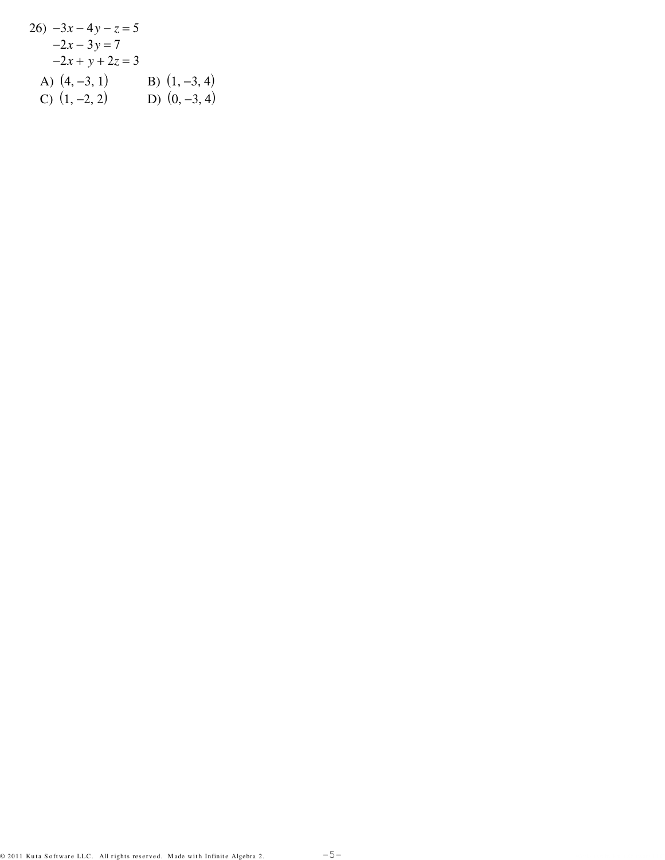26) 
$$
-3x-4y-z=5
$$
  
\t $-2x-3y=7$   
\t $-2x+y+2z=3$   
A)  $(4, -3, 1)$  B)  $(1, -3, 4)$   
C)  $(1, -2, 2)$  D)  $(0, -3, 4)$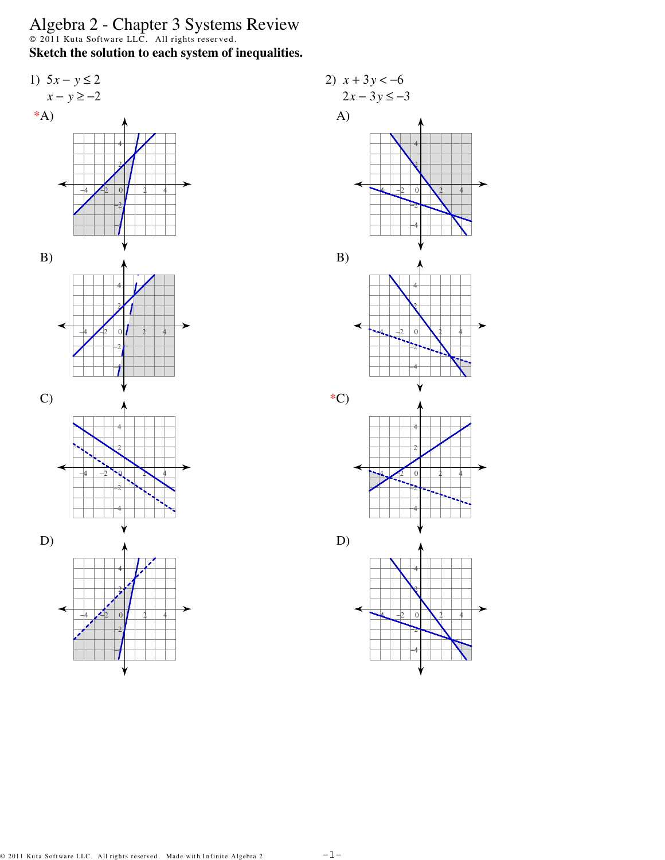Algebra 2 - Chapter 3 Systems Review<br>  $\circ$  2011 Kuta Software LLC. All rights reserved.<br>
Sketch the solution to each system of inequalities.



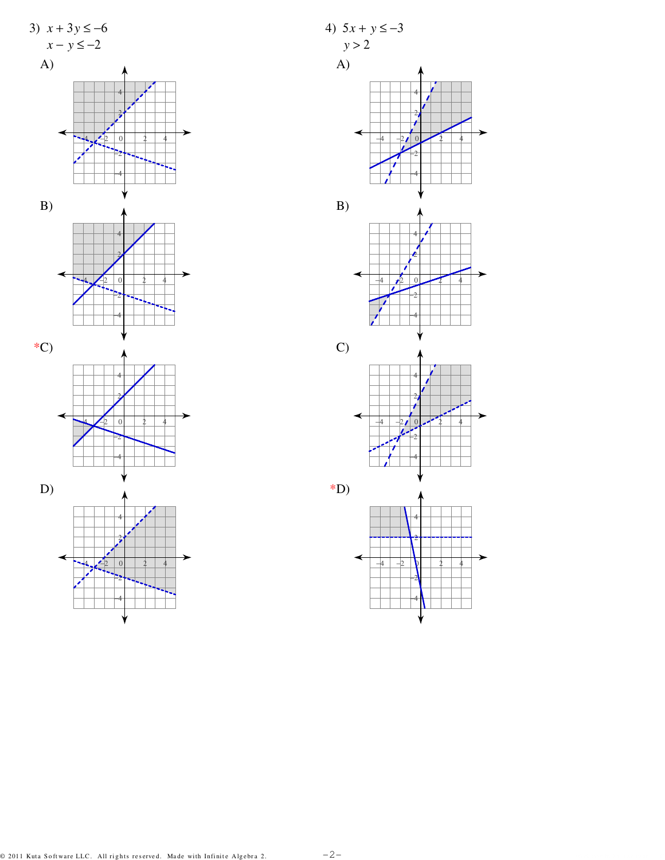

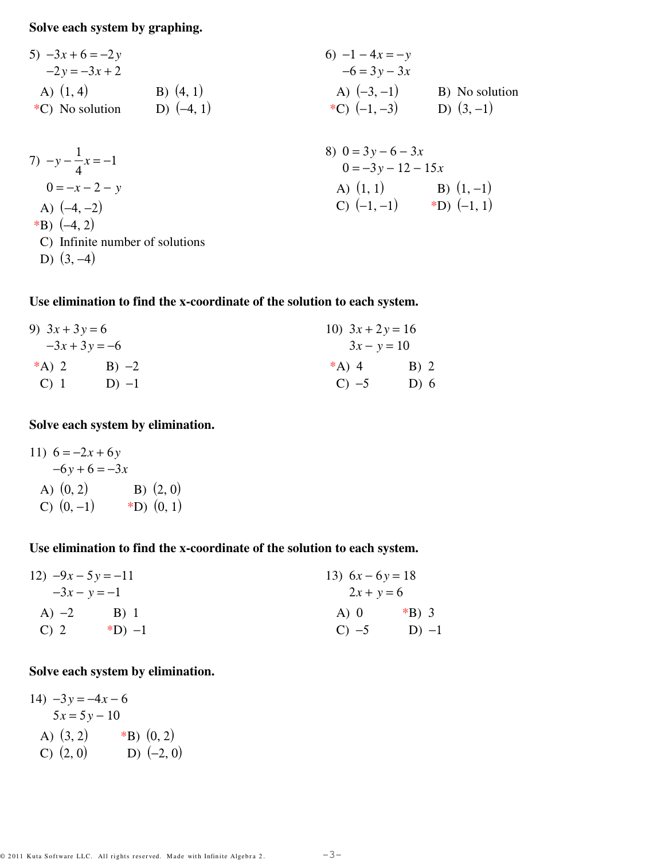**Solve each system by graphing.**

| 5) $-3x + 6 = -2y$ | 6) $-1 - 4x = -y$ |                |
|--------------------|-------------------|----------------|
| -2y = $-3x + 2$    | B) (4, 1)         | C) No solution |
| 6) $-1 - 4x = -y$  |                   |                |
| 7) $-6 = 3y - 3x$  | D) (4, 1)         |                |
| 8) $(4, 1)$        | A) $(-3, -1)$     | B) No solution |
| 9) $(-4, 1)$       | 10) $(-3, -1)$    |                |

7) 
$$
-y - \frac{1}{4}x = -1
$$
  
\n $0 = -x - 2 - y$   
\nA)  $(-4, -2)$   
\nB)  $(-4, 2)$   
\nB)  $(-4, 2)$   
\nC) Infinite number of solutions

D)  $(3, -4)$ 

## **Use elimination to find the x-coordinate of the solution to each system.**

| 9) $3x + 3y = 6$<br>$-3x + 3y = -6$ |        | 10) $3x + 2y = 16$<br>$3x - y = 10$ |      |
|-------------------------------------|--------|-------------------------------------|------|
|                                     |        |                                     |      |
| $C$ ) 1                             | $D$ -1 | $C$ ) $-5$                          | D) 6 |

## **Solve each system by elimination.**

11)  $6 = -2x + 6y$  $-6y + 6 = -3x$ A)  $(0, 2)$  B)  $(2, 0)$ C)  $(0, -1)$  \*D)  $(0, 1)$ 

### **Use elimination to find the x-coordinate of the solution to each system.**

| 12) $-9x - 5y = -11$ |          | 13) $6x - 6y = 18$ |          |
|----------------------|----------|--------------------|----------|
| $-3x - y = -1$       |          | $2x + y = 6$       |          |
| A) $-2$              | B) 1     | A) 0               | $*B$ ) 3 |
| $C$ ) 2              | $(D) -1$ | $C) -5$            | $D) -1$  |

## **Solve each system by elimination.**

14)  $-3y = -4x - 6$  $5x = 5y - 10$ A)  $(3, 2)$  \*B)  $(0, 2)$ C)  $(2, 0)$  D)  $(-2, 0)$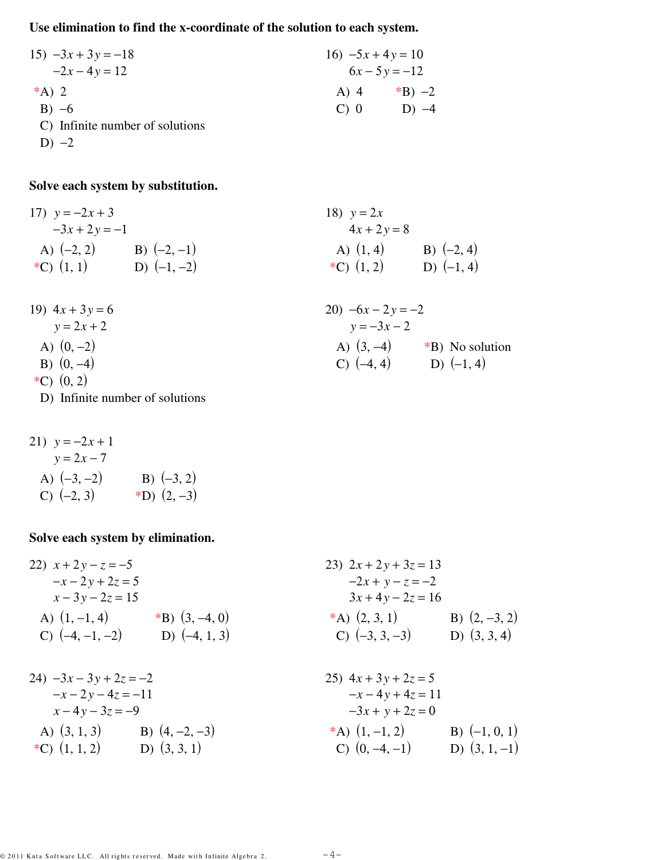# **Use elimination to find the x-coordinate of the solution to each system.**

| $15) -3x + 3y = -18$            | $16) -5x + 4y = 10$ |                 |
|---------------------------------|---------------------|-----------------|
| $-2x-4y=12$                     |                     | $6x - 5y = -12$ |
| *A) 2                           | A) 4                | *B) $-2$        |
| $B) -6$                         | $C$ 0               | $D) -4$         |
| C) Infinite number of solutions |                     |                 |

D)  $-2$ 

19)

# **Solve each system by substitution.**

17) 
$$
y = -2x + 3
$$
  
\n $-3x + 2y = -1$   
\nA) (-2, 2)  
\nB) (-2, -1)  
\nB) (-2, -1)  
\nB) (-1, -2)  
\nB) (-1, -2)  
\nC) (1, 2)  
\nD) (-1, 4)

| 19) $4x + 3y = 6$ | 20) $-6x - 2y = -2$ |                 |
|-------------------|---------------------|-----------------|
| $y = 2x + 2$      | $y = -3x - 2$       |                 |
| A) $(0, -2)$      | A) $(3, -4)$        | *B) No solution |
| B) $(0, -4)$      | C) $(-4, 4)$        | D) $(-1, 4)$    |
| *C) $(0, 2)$      |                     |                 |

D) Infinite number of solutions

21) 
$$
y = -2x + 1
$$
  
\n $y = 2x - 7$   
\nA)  $(-3, -2)$   
\nB)  $(-3, 2)$   
\nC)  $(-2, 3)$   
\n(B)  $(-3, 2)$   
\n(C)  $(-2, 3)$ 

# **Solve each system by elimination.**

| 22) $x + 2y - z = -5$                |                                     | 23) $2x + 2y + 3z = 13$                   |                                   |
|--------------------------------------|-------------------------------------|-------------------------------------------|-----------------------------------|
| $-x-2y+2z=5$<br>$x - 3y - 2z = 15$   |                                     | $-2x + y - z = -2$<br>$3x + 4y - 2z = 16$ |                                   |
| A) $(1, -1, 4)$<br>C) $(-4, -1, -2)$ | *B) $(3, -4, 0)$<br>D) $(-4, 1, 3)$ | *A) $(2, 3, 1)$<br>C) $(-3, 3, -3)$       | B) $(2, -3, 2)$<br>D) $(3, 3, 4)$ |
|                                      |                                     |                                           |                                   |
| $24) -3x - 3y + 2z = -2$             |                                     | 25) $4x + 3y + 2z = 5$                    |                                   |
| $-x-2y-4z=-11$                       |                                     | $-x-4y+4z=11$                             |                                   |
| $x-4y-3z=-9$                         |                                     | $-3x + y + 2z = 0$                        |                                   |
| A) $(3, 1, 3)$ B) $(4, -2, -3)$      |                                     | *A) $(1, -1, 2)$                          | B) $(-1, 0, 1)$                   |
| *C) $(1, 1, 2)$ D) $(3, 3, 1)$       |                                     | C) $(0, -4, -1)$                          | D) $(3, 1, -1)$                   |
|                                      |                                     |                                           |                                   |